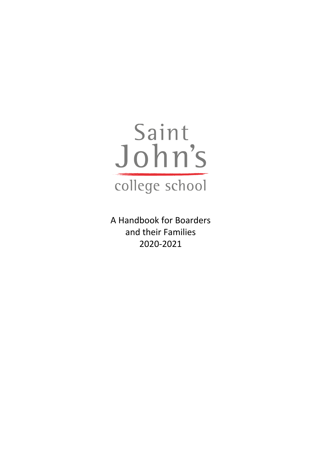

A Handbook for Boarders and their Families 2020-2021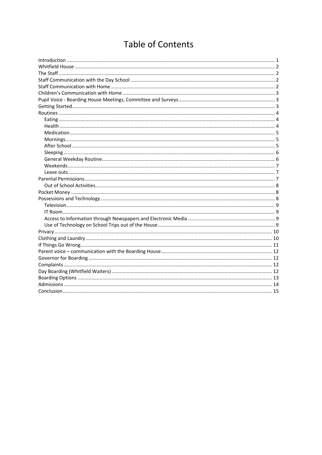# **Table of Contents**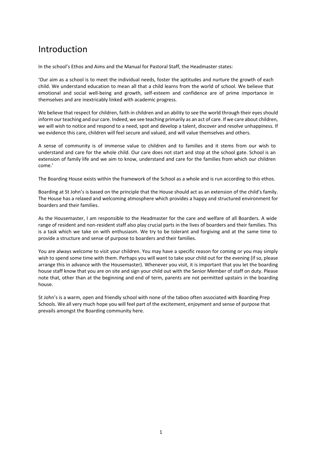# <span id="page-2-0"></span>Introduction

In the school's Ethos and Aims and the Manual for Pastoral Staff, the Headmaster states:

'Our aim as a school is to meet the individual needs, foster the aptitudes and nurture the growth of each child. We understand education to mean all that a child learns from the world of school. We believe that emotional and social well-being and growth, self-esteem and confidence are of prime importance in themselves and are inextricably linked with academic progress.

We believe that respect for children, faith in children and an ability to see the world through their eyes should inform our teaching and our care. Indeed, we see teaching primarily as an act of care. If we care about children, we will wish to notice and respond to a need, spot and develop a talent, discover and resolve unhappiness. If we evidence this care, children will feel secure and valued, and will value themselves and others.

A sense of community is of immense value to children and to families and it stems from our wish to understand and care for the whole child. Our care does not start and stop at the school gate. School is an extension of family life and we aim to know, understand and care for the families from which our children come.'

The Boarding House exists within the framework of the School as a whole and is run according to this ethos.

Boarding at St John's is based on the principle that the House should act as an extension of the child's family. The House has a relaxed and welcoming atmosphere which provides a happy and structured environment for boarders and their families.

As the Housemaster, I am responsible to the Headmaster for the care and welfare of all Boarders. A wide range of resident and non-resident staff also play crucial parts in the lives of boarders and their families. This is a task which we take on with enthusiasm. We try to be tolerant and forgiving and at the same time to provide a structure and sense of purpose to boarders and their families.

You are always welcome to visit your children. You may have a specific reason for coming or you may simply wish to spend some time with them. Perhaps you will want to take your child out for the evening (if so, please arrange this in advance with the Housemaster). Whenever you visit, it is important that you let the boarding house staff know that you are on site and sign your child out with the Senior Member of staff on duty. Please note that, other than at the beginning and end of term, parents are not permitted upstairs in the boarding house.

St John's is a warm, open and friendly school with none of the taboo often associated with Boarding Prep Schools. We all very much hope you will feel part of the excitement, enjoyment and sense of purpose that prevails amongst the Boarding community here.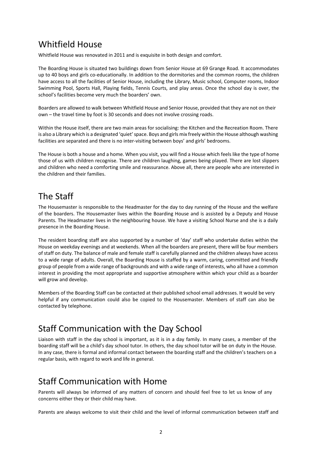# <span id="page-3-0"></span>Whitfield House

Whitfield House was renovated in 2011 and is exquisite in both design and comfort.

The Boarding House is situated two buildings down from Senior House at 69 Grange Road. It accommodates up to 40 boys and girls co-educationally. In addition to the dormitories and the common rooms, the children have access to all the facilities of Senior House, including the Library, Music school, Computer rooms, Indoor Swimming Pool, Sports Hall, Playing fields, Tennis Courts, and play areas. Once the school day is over, the school's facilities become very much the boarders' own.

Boarders are allowed to walk between Whitfield House and Senior House, provided that they are not on their own – the travel time by foot is 30 seconds and does not involve crossing roads.

Within the House itself, there are two main areas for socialising: the Kitchen and the Recreation Room. There is also a Library which is a designated 'quiet' space. Boys and girls mix freely within the House although washing facilities are separated and there is no inter-visiting between boys' and girls' bedrooms.

The House is both a house and a home. When you visit, you will find a House which feels like the type of home those of us with children recognise. There are children laughing, games being played. There are lost slippers and children who need a comforting smile and reassurance. Above all, there are people who are interested in the children and their families.

## <span id="page-3-1"></span>The Staff

The Housemaster is responsible to the Headmaster for the day to day running of the House and the welfare of the boarders. The Housemaster lives within the Boarding House and is assisted by a Deputy and House Parents. The Headmaster lives in the neighbouring house. We have a visiting School Nurse and she is a daily presence in the Boarding House.

The resident boarding staff are also supported by a number of 'day' staff who undertake duties within the House on weekday evenings and at weekends. When all the boarders are present, there will be four members of staff on duty. The balance of male and female staff is carefully planned and the children always have access to a wide range of adults. Overall, the Boarding House is staffed by a warm, caring, committed and friendly group of people from a wide range of backgrounds and with a wide range of interests, who all have a common interest in providing the most appropriate and supportive atmosphere within which your child as a boarder will grow and develop.

Members of the Boarding Staff can be contacted at their published school email addresses. It would be very helpful if any communication could also be copied to the Housemaster. Members of staff can also be contacted by telephone.

## <span id="page-3-2"></span>Staff Communication with the Day School

Liaison with staff in the day school is important, as it is in a day family. In many cases, a member of the boarding staff will be a child's day school tutor. In others, the day school tutor will be on duty in the House. In any case, there is formal and informal contact between the boarding staff and the children's teachers on a regular basis, with regard to work and life in general.

## <span id="page-3-3"></span>Staff Communication with Home

Parents will always be informed of any matters of concern and should feel free to let us know of any concerns either they or their child may have.

Parents are always welcome to visit their child and the level of informal communication between staff and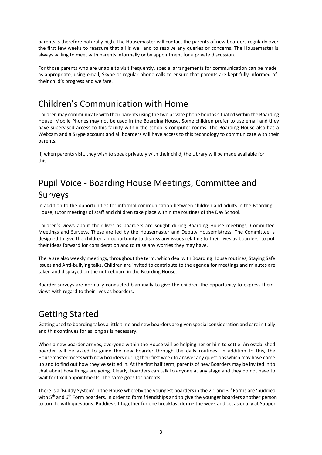parents is therefore naturally high. The Housemaster will contact the parents of new boarders regularly over the first few weeks to reassure that all is well and to resolve any queries or concerns. The Housemaster is always willing to meet with parents informally or by appointment for a private discussion.

For those parents who are unable to visit frequently, special arrangements for communication can be made as appropriate, using email, Skype or regular phone calls to ensure that parents are kept fully informed of their child's progress and welfare.

# <span id="page-4-0"></span>Children's Communication with Home

Children may communicate with their parents using the two private phone boothssituated within the Boarding House. Mobile Phones may not be used in the Boarding House. Some children prefer to use email and they have supervised access to this facility within the school's computer rooms. The Boarding House also has a Webcam and a Skype account and all boarders will have access to this technology to communicate with their parents.

If, when parents visit, they wish to speak privately with their child, the Library will be made available for this.

# <span id="page-4-1"></span>Pupil Voice - Boarding House Meetings, Committee and Surveys

In addition to the opportunities for informal communication between children and adults in the Boarding House, tutor meetings of staff and children take place within the routines of the Day School.

Children's views about their lives as boarders are sought during Boarding House meetings, Committee Meetings and Surveys. These are led by the Housemaster and Deputy Housemistress. The Committee is designed to give the children an opportunity to discuss any issues relating to their lives as boarders, to put their ideas forward for consideration and to raise any worries they may have.

There are also weekly meetings, throughout the term, which deal with Boarding House routines, Staying Safe Issues and Anti-bullying talks. Children are invited to contribute to the agenda for meetings and minutes are taken and displayed on the noticeboard in the Boarding House.

Boarder surveys are normally conducted biannually to give the children the opportunity to express their views with regard to their lives as boarders.

# <span id="page-4-2"></span>Getting Started

Getting used to boarding takes a little time and new boarders are given special consideration and care initially and this continues for as long as is necessary.

When a new boarder arrives, everyone within the House will be helping her or him to settle. An established boarder will be asked to guide the new boarder through the daily routines. In addition to this, the Housemaster meets with new boarders during their first week to answer any questions which may have come up and to find out how they've settled in. At the first half term, parents of new Boarders may be invited in to chat about how things are going. Clearly, boarders can talk to anyone at any stage and they do not have to wait for fixed appointments. The same goes for parents.

There is a 'Buddy System' in the House whereby the youngest boarders in the  $2^{nd}$  and  $3^{rd}$  Forms are 'buddied' with  $5<sup>th</sup>$  and  $6<sup>th</sup>$  Form boarders, in order to form friendships and to give the younger boarders another person to turn to with questions. Buddies sit together for one breakfast during the week and occasionally at Supper.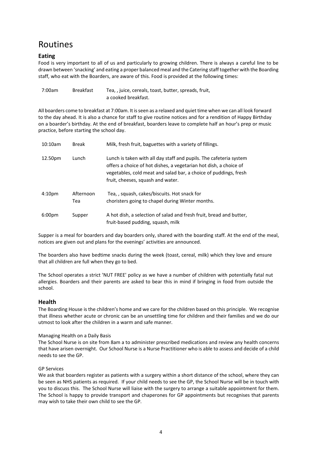# <span id="page-5-0"></span>Routines

## <span id="page-5-1"></span>**Eating**

Food is very important to all of us and particularly to growing children. There is always a careful line to be drawn between 'snacking' and eating a proper balanced meal and the Catering staff together with the Boarding staff, who eat with the Boarders, are aware of this. Food is provided at the following times:

| 7:00am | <b>Breakfast</b> | Tea,, juice, cereals, toast, butter, spreads, fruit, |
|--------|------------------|------------------------------------------------------|
|        |                  | a cooked breakfast.                                  |

All boarders come to breakfast at 7:00am. It is seen as a relaxed and quiet time when we can all look forward to the day ahead. It is also a chance for staff to give routine notices and for a rendition of Happy Birthday on a boarder's birthday. At the end of breakfast, boarders leave to complete half an hour's prep or music practice, before starting the school day.

| $10:10$ am         | Break            | Milk, fresh fruit, baguettes with a variety of fillings.                                                                                                                                                                                         |
|--------------------|------------------|--------------------------------------------------------------------------------------------------------------------------------------------------------------------------------------------------------------------------------------------------|
| 12.50pm            | Lunch            | Lunch is taken with all day staff and pupils. The cafeteria system<br>offers a choice of hot dishes, a vegetarian hot dish, a choice of<br>vegetables, cold meat and salad bar, a choice of puddings, fresh<br>fruit, cheeses, squash and water. |
| 4:10 <sub>pm</sub> | Afternoon<br>Tea | Tea,, squash, cakes/biscuits. Hot snack for<br>choristers going to chapel during Winter months.                                                                                                                                                  |
| 6:00 <sub>pm</sub> | Supper           | A hot dish, a selection of salad and fresh fruit, bread and butter,<br>fruit-based pudding, squash, milk                                                                                                                                         |

Supper is a meal for boarders and day boarders only, shared with the boarding staff. At the end of the meal, notices are given out and plans for the evenings' activities are announced.

The boarders also have bedtime snacks during the week (toast, cereal, milk) which they love and ensure that all children are full when they go to bed.

The School operates a strict 'NUT FREE' policy as we have a number of children with potentially fatal nut allergies. Boarders and their parents are asked to bear this in mind if bringing in food from outside the school.

### <span id="page-5-2"></span>**Health**

The Boarding House is the children's home and we care for the children based on this principle. We recognise that illness whether acute or chronic can be an unsettling time for children and their families and we do our utmost to look after the children in a warm and safe manner.

#### Managing Health on a Daily Basis

The School Nurse is on site from 8am a to administer prescribed medications and review any health concerns that have arisen overnight. Our School Nurse is a Nurse Practitioner who is able to assess and decide of a child needs to see the GP.

#### GP Services

We ask that boarders register as patients with a surgery within a short distance of the school, where they can be seen as NHS patients as required. If your child needs to see the GP, the School Nurse will be in touch with you to discuss this. The School Nurse will liaise with the surgery to arrange a suitable appointment for them. The School is happy to provide transport and chaperones for GP appointments but recognises that parents may wish to take their own child to see the GP.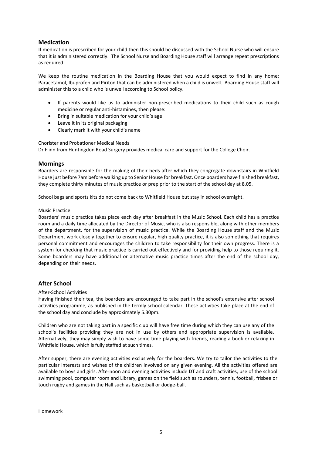### <span id="page-6-0"></span>**Medication**

If medication is prescribed for your child then this should be discussed with the School Nurse who will ensure that it is administered correctly. The School Nurse and Boarding House staff will arrange repeat prescriptions as required.

We keep the routine medication in the Boarding House that you would expect to find in any home: Paracetamol, Ibuprofen and Piriton that can be administered when a child is unwell. Boarding House staff will administer this to a child who is unwell according to School policy.

- If parents would like us to administer non-prescribed medications to their child such as cough medicine or regular anti-histamines, then please:
- Bring in suitable medication for your child's age
- Leave it in its original packaging
- Clearly mark it with your child's name

#### Chorister and Probationer Medical Needs

Dr Flinn from Huntingdon Road Surgery provides medical care and support for the College Choir.

### <span id="page-6-1"></span>**Mornings**

Boarders are responsible for the making of their beds after which they congregate downstairs in Whitfield House just before 7am before walking up to Senior House for breakfast. Once boarders have finished breakfast, they complete thirty minutes of music practice or prep prior to the start of the school day at 8.05.

School bags and sports kits do not come back to Whitfield House but stay in school overnight.

#### Music Practice

Boarders' music practice takes place each day after breakfast in the Music School. Each child has a practice room and a daily time allocated by the Director of Music, who is also responsible, along with other members of the department, for the supervision of music practice. While the Boarding House staff and the Music Department work closely together to ensure regular, high quality practice, it is also something that requires personal commitment and encourages the children to take responsibility for their own progress. There is a system for checking that music practice is carried out effectively and for providing help to those requiring it. Some boarders may have additional or alternative music practice times after the end of the school day, depending on their needs.

### <span id="page-6-2"></span>**After School**

#### After-School Activities

Having finished their tea, the boarders are encouraged to take part in the school's extensive after school activities programme, as published in the termly school calendar. These activities take place at the end of the school day and conclude by approximately 5.30pm.

Children who are not taking part in a specific club will have free time during which they can use any of the school's facilities providing they are not in use by others and appropriate supervision is available. Alternatively, they may simply wish to have some time playing with friends, reading a book or relaxing in Whitfield House, which is fully staffed at such times.

After supper, there are evening activities exclusively for the boarders. We try to tailor the activities to the particular interests and wishes of the children involved on any given evening. All the activities offered are available to boys and girls. Afternoon and evening activities include DT and craft activities, use of the school swimming pool, computer room and Library, games on the field such as rounders, tennis, football, frisbee or touch rugby and games in the Hall such as basketball or dodge-ball.

Homework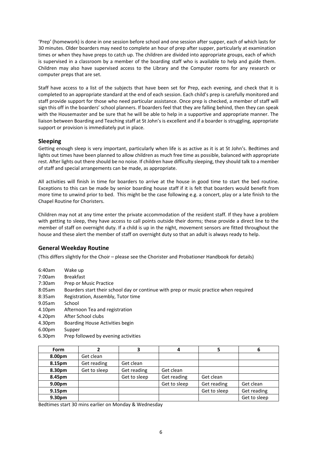'Prep' (homework) is done in one session before school and one session after supper, each of which lasts for 30 minutes. Older boarders may need to complete an hour of prep after supper, particularly at examination times or when they have preps to catch up. The children are divided into appropriate groups, each of which is supervised in a classroom by a member of the boarding staff who is available to help and guide them. Children may also have supervised access to the Library and the Computer rooms for any research or computer preps that are set.

Staff have access to a list of the subjects that have been set for Prep, each evening, and check that it is completed to an appropriate standard at the end of each session. Each child's prep is carefully monitored and staff provide support for those who need particular assistance. Once prep is checked, a member of staff will sign this off in the boarders' school planners. If boarders feel that they are falling behind, then they can speak with the Housemaster and be sure that he will be able to help in a supportive and appropriate manner. The liaison between Boarding and Teaching staff at St John's is excellent and if a boarder is struggling, appropriate support or provision is immediately put in place.

### <span id="page-7-0"></span>**Sleeping**

Getting enough sleep is very important, particularly when life is as active as it is at St John's. Bedtimes and lights out times have been planned to allow children as much free time as possible, balanced with appropriate rest. After lights out there should be no noise. If children have difficulty sleeping, they should talk to a member of staff and special arrangements can be made, as appropriate.

All activities will finish in time for boarders to arrive at the house in good time to start the bed routine. Exceptions to this can be made by senior boarding house staff if it is felt that boarders would benefit from more time to unwind prior to bed. This might be the case following e.g. a concert, play or a late finish to the Chapel Routine for Choristers.

Children may not at any time enter the private accommodation of the resident staff. If they have a problem with getting to sleep, they have access to call points outside their dorms; these provide a direct line to the member of staff on overnight duty. If a child is up in the night, movement sensors are fitted throughout the house and these alert the member of staff on overnight duty so that an adult is always ready to help.

### <span id="page-7-1"></span>**General Weekday Routine**

(This differs slightly for the Choir – please see the Chorister and Probationer Handbook for details)

| 6:40am             | Wake up                                                                               |
|--------------------|---------------------------------------------------------------------------------------|
| 7:00am             | <b>Breakfast</b>                                                                      |
| 7:30am             | Prep or Music Practice                                                                |
| 8:05am             | Boarders start their school day or continue with prep or music practice when required |
| 8:35am             | Registration, Assembly, Tutor time                                                    |
| 9.05am             | School                                                                                |
| 4.10pm             | Afternoon Tea and registration                                                        |
| 4.20pm             | After School clubs                                                                    |
| 4.30pm             | Boarding House Activities begin                                                       |
| 6.00 <sub>pm</sub> | Supper                                                                                |
| 6.30pm             | Prep followed by evening activities                                                   |

| <b>Form</b>        |              |              |              |              | b            |
|--------------------|--------------|--------------|--------------|--------------|--------------|
| 8.00pm             | Get clean    |              |              |              |              |
| 8.15pm             | Get reading  | Get clean    |              |              |              |
| 8.30pm             | Get to sleep | Get reading  | Get clean    |              |              |
| 8.45pm             |              | Get to sleep | Get reading  | Get clean    |              |
| 9.00 <sub>pm</sub> |              |              | Get to sleep | Get reading  | Get clean    |
| 9.15pm             |              |              |              | Get to sleep | Get reading  |
| 9.30pm             |              |              |              |              | Get to sleep |

Bedtimes start 30 mins earlier on Monday & Wednesday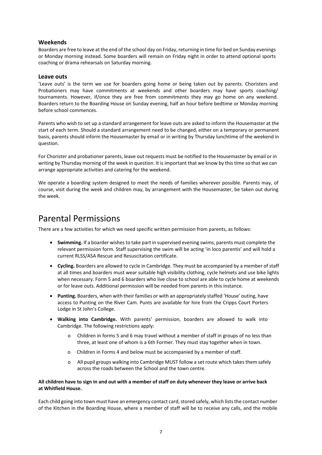### <span id="page-8-0"></span>**Weekends**

Boarders are free to leave at the end of the school day on Friday, returning in time for bed on Sunday evenings or Monday morning instead. Some boarders will remain on Friday night in order to attend optional sports coaching or drama rehearsals on Saturday morning.

### <span id="page-8-1"></span>**Leave outs**

'Leave outs' is the term we use for boarders going home or being taken out by parents. Choristers and Probationers may have commitments at weekends and other boarders may have sports coaching/ tournaments. However, if/once they are free from commitments they may go home on any weekend. Boarders return to the Boarding House on Sunday evening, half an hour before bedtime or Monday morning before school commences.

Parents who wish to set up a standard arrangement for leave outs are asked to inform the Housemaster at the start of each term. Should a standard arrangement need to be changed, either on a temporary or permanent basis, parents should inform the Housemaster by email or in writing by Thursday lunchtime of the weekend in question.

For Chorister and probationer parents, leave out requests must be notified to the Housemaster by email or in writing by Thursday morning of the week in question. It is important that we know by this time so that we can arrange appropriate activities and catering for the weekend.

We operate a boarding system designed to meet the needs of families wherever possible. Parents may, of course, visit during the week and children may, by arrangement with the Housemaster, be taken out during the week.

## <span id="page-8-2"></span>Parental Permissions

There are a few activities for which we need specific written permission from parents, as follows:

- **Swimming.** If a boarder wishes to take part in supervised evening swims, parents must complete the relevant permission form. Staff supervising the swim will be acting 'in loco parentis' and will hold a current RLSS/ASA Rescue and Resuscitation certificate.
- **Cycling.** Boarders are allowed to cycle in Cambridge. They must be accompanied by a member of staff at all times and boarders must wear suitable high visibility clothing, cycle helmets and use bike lights when necessary. Form 5 and 6 boarders who live close to school are able to cycle home at weekends or for leave outs. Additional permission will be needed from parents in this instance.
- **Punting.** Boarders, when with their families or with an appropriately staffed 'House' outing, have access to Punting on the River Cam. Punts are available for hire from the Cripps Court Porters Lodge in St John's College.
- **Walking into Cambridge.** With parents' permission, boarders are allowed to walk into Cambridge. The following restrictions apply:
	- o Children in forms 5 and 6 may travel without a member of staff in groups of no less than three, at least one of whom is a 6th Former. They must stay together when in town.
	- o Children in Forms 4 and below must be accompanied by a member of staff.
	- o All pupil groups walking into Cambridge MUST follow a set route which takes them safely across the roads between the School and the town centre.

### **All children have to sign in and out with a member of staff on duty whenever they leave or arrive back at Whitfield House.**

Each child going into town must have an emergency contact card, stored safely, which lists the contact number of the Kitchen in the Boarding House, where a member of staff will be to receive any calls, and the mobile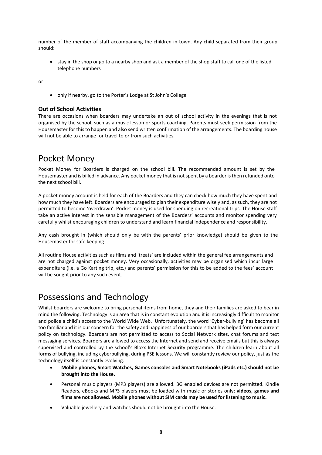number of the member of staff accompanying the children in town. Any child separated from their group should:

• stay in the shop or go to a nearby shop and ask a member of the shop staff to call one of the listed telephone numbers

or

• only if nearby, go to the Porter's Lodge at St John's College

### <span id="page-9-0"></span>**Out of School Activities**

There are occasions when boarders may undertake an out of school activity in the evenings that is not organised by the school, such as a music lesson or sports coaching. Parents must seek permission from the Housemaster for this to happen and also send written confirmation of the arrangements. The boarding house will not be able to arrange for travel to or from such activities.

## <span id="page-9-1"></span>Pocket Money

Pocket Money for Boarders is charged on the school bill. The recommended amount is set by the Housemaster and is billed in advance. Any pocket money that is not spent by a boarder is then refunded onto the next school bill.

A pocket money account is held for each of the Boarders and they can check how much they have spent and how much they have left. Boarders are encouraged to plan their expenditure wisely and, as such, they are not permitted to become 'overdrawn'. Pocket money is used for spending on recreational trips. The House staff take an active interest in the sensible management of the Boarders' accounts and monitor spending very carefully whilst encouraging children to understand and learn financial independence and responsibility.

Any cash brought in (which should only be with the parents' prior knowledge) should be given to the Housemaster for safe keeping.

All routine House activities such as films and 'treats' are included within the general fee arrangements and are not charged against pocket money. Very occasionally, activities may be organised which incur large expenditure (i.e. a Go Karting trip, etc.) and parents' permission for this to be added to the fees' account will be sought prior to any such event.

## <span id="page-9-2"></span>Possessions and Technology

Whilst boarders are welcome to bring personal items from home, they and their families are asked to bear in mind the following: Technology is an area that is in constant evolution and it is increasingly difficult to monitor and police a child's access to the World Wide Web. Unfortunately, the word 'Cyber-bullying' has become all too familiar and it is our concern for the safety and happiness of our boarders that has helped form our current policy on technology. Boarders are not permitted to access to Social Network sites, chat forums and text messaging services. Boarders are allowed to access the Internet and send and receive emails but this is always supervised and controlled by the school's Bloxx Internet Security programme. The children learn about all forms of bullying, including cyberbullying, during PSE lessons. We will constantly review our policy, just as the technology itself is constantly evolving.

- **Mobile phones, Smart Watches, Games consoles and Smart Notebooks (iPads etc.) should not be brought into the House.**
- Personal music players (MP3 players) are allowed. 3G enabled devices are not permitted. Kindle Readers, eBooks and MP3 players must be loaded with music or stories only; **videos, games and films are not allowed. Mobile phones without SIM cards may be used for listening to music.**
- Valuable jewellery and watches should not be brought into the House.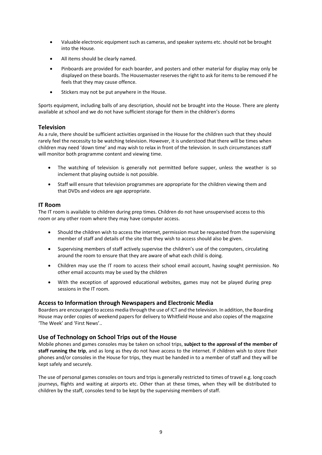- Valuable electronic equipment such as cameras, and speaker systems etc. should not be brought into the House.
- All items should be clearly named.
- Pinboards are provided for each boarder, and posters and other material for display may only be displayed on these boards. The Housemaster reserves the right to ask for items to be removed if he feels that they may cause offence.
- Stickers may not be put anywhere in the House.

Sports equipment, including balls of any description, should not be brought into the House. There are plenty available at school and we do not have sufficient storage for them in the children's dorms

### <span id="page-10-0"></span>**Television**

As a rule, there should be sufficient activities organised in the House for the children such that they should rarely feel the necessity to be watching television. However, it is understood that there will be times when children may need 'down time' and may wish to relax in front of the television. In such circumstances staff will monitor both programme content and viewing time.

- The watching of television is generally not permitted before supper, unless the weather is so inclement that playing outside is not possible.
- Staff will ensure that television programmes are appropriate for the children viewing them and that DVDs and videos are age appropriate.

### <span id="page-10-1"></span>**IT Room**

The IT room is available to children during prep times. Children do not have unsupervised access to this room or any other room where they may have computer access.

- Should the children wish to access the internet, permission must be requested from the supervising member of staff and details of the site that they wish to access should also be given.
- Supervising members of staff actively supervise the children's use of the computers, circulating around the room to ensure that they are aware of what each child is doing.
- Children may use the IT room to access their school email account, having sought permission. No other email accounts may be used by the children
- With the exception of approved educational websites, games may not be played during prep sessions in the IT room.

### <span id="page-10-2"></span>**Access to Information through Newspapers and Electronic Media**

Boarders are encouraged to access media through the use of ICT and the television. In addition, the Boarding House may order copies of weekend papers for delivery to Whitfield House and also copies of the magazine 'The Week' and 'First News'..

### <span id="page-10-3"></span>**Use of Technology on School Trips out of the House**

Mobile phones and games consoles may be taken on school trips, **subject to the approval of the member of staff running the trip**, and as long as they do not have access to the internet. If children wish to store their phones and/or consoles in the House for trips, they must be handed in to a member of staff and they will be kept safely and securely.

The use of personal games consoles on tours and trips is generally restricted to times of travel e.g. long coach journeys, flights and waiting at airports etc. Other than at these times, when they will be distributed to children by the staff, consoles tend to be kept by the supervising members of staff.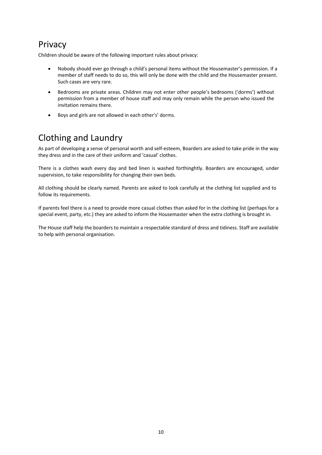# <span id="page-11-0"></span>Privacy

Children should be aware of the following important rules about privacy:

- Nobody should ever go through a child's personal items without the Housemaster's permission. If a member of staff needs to do so, this will only be done with the child and the Housemaster present. Such cases are very rare.
- Bedrooms are private areas. Children may not enter other people's bedrooms ('dorms') without permission from a member of house staff and may only remain while the person who issued the invitation remains there.
- Boys and girls are not allowed in each other's' dorms.

# <span id="page-11-1"></span>Clothing and Laundry

As part of developing a sense of personal worth and self-esteem, Boarders are asked to take pride in the way they dress and in the care of their uniform and 'casual' clothes.

There is a clothes wash every day and bed linen is washed forthinghtly. Boarders are encouraged, under supervision, to take responsibility for changing their own beds.

All clothing should be clearly named. Parents are asked to look carefully at the clothing list supplied and to follow its requirements.

If parents feel there is a need to provide more casual clothes than asked for in the clothing list (perhaps for a special event, party, etc.) they are asked to inform the Housemaster when the extra clothing is brought in.

The House staff help the boarders to maintain a respectable standard of dress and tidiness. Staff are available to help with personal organisation.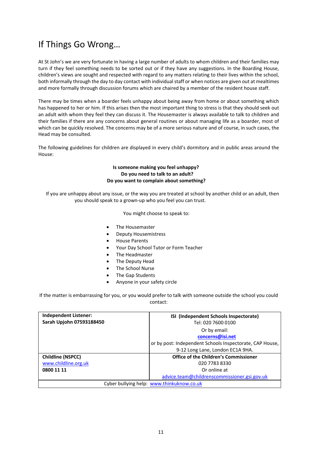# <span id="page-12-0"></span>If Things Go Wrong…

At St John's we are very fortunate in having a large number of adults to whom children and their families may turn if they feel something needs to be sorted out or if they have any suggestions. In the Boarding House, children's views are sought and respected with regard to any matters relating to their lives within the school, both informally through the day to day contact with individual staff or when notices are given out at mealtimes and more formally through discussion forums which are chaired by a member of the resident house staff.

There may be times when a boarder feels unhappy about being away from home or about something which has happened to her or him. If this arises then the most important thing to stress is that they should seek out an adult with whom they feel they can discuss it. The Housemaster is always available to talk to children and their families if there are any concerns about general routines or about managing life as a boarder, most of which can be quickly resolved. The concerns may be of a more serious nature and of course, in such cases, the Head may be consulted.

The following guidelines for children are displayed in every child's dormitory and in public areas around the House:

### **Is someone making you feel unhappy? Do you need to talk to an adult? Do you want to complain about something?**

If you are unhappy about any issue, or the way you are treated at school by another child or an adult, then you should speak to a grown-up who you feel you can trust.

You might choose to speak to:

- The Housemaster
- Deputy Housemistress
- House Parents
- Your Day School Tutor or Form Teacher
- The Headmaster
- The Deputy Head
- The School Nurse
- The Gap Students
- Anyone in your safety circle

If the matter is embarrassing for you, or you would prefer to talk with someone outside the school you could contact:

| <b>Independent Listener:</b>              | ISI (Independent Schools Inspectorate)                   |  |
|-------------------------------------------|----------------------------------------------------------|--|
| Sarah Upjohn 07593188450                  | Tel: 020 7600 0100                                       |  |
|                                           | Or by email:                                             |  |
|                                           | concerns@isi.net                                         |  |
|                                           | or by post: Independent Schools Inspectorate, CAP House, |  |
|                                           | 9-12 Long Lane, London EC1A 9HA.                         |  |
| <b>Childline (NSPCC)</b>                  | <b>Office of the Children's Commissioner</b>             |  |
| www.childline.org.uk                      | 020 7783 8330                                            |  |
| 0800 11 11                                | Or online at                                             |  |
|                                           | advice.team@childrenscommissioner.gsi.gov.uk             |  |
| Cyber bullying help: www.thinkuknow.co.uk |                                                          |  |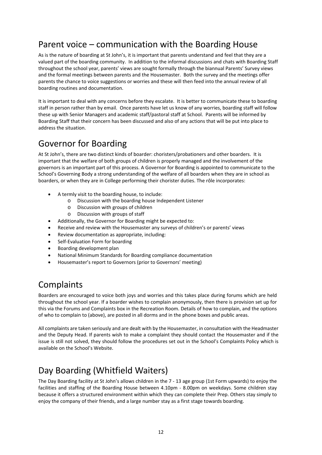# <span id="page-13-0"></span>Parent voice – communication with the Boarding House

As is the nature of boarding at St John's, it is important that parents understand and feel that they are a valued part of the boarding community. In addition to the informal discussions and chats with Boarding Staff throughout the school year, parents' views are sought formally through the biannual Parents' Survey views and the formal meetings between parents and the Housemaster. Both the survey and the meetings offer parents the chance to voice suggestions or worries and these will then feed into the annual review of all boarding routines and documentation.

It is important to deal with any concerns before they escalate. It is better to communicate these to boarding staff in person rather than by email. Once parents have let us know of any worries, boarding staff will follow these up with Senior Managers and academic staff/pastoral staff at School. Parents will be informed by Boarding Staff that their concern has been discussed and also of any actions that will be put into place to address the situation.

# <span id="page-13-1"></span>Governor for Boarding

At St John's, there are two distinct kinds of boarder: choristers/probationers and other boarders. It is important that the welfare of both groups of children is properly managed and the involvement of the governors is an important part of this process. A Governor for Boarding is appointed to communicate to the School's Governing Body a strong understanding of the welfare of all boarders when they are in school as boarders, or when they are in College performing their chorister duties. The rôle incorporates:

- A termly visit to the boarding house, to include:
	- o Discussion with the boarding house Independent Listener
	- o Discussion with groups of children
	- o Discussion with groups of staff
- Additionally, the Governor for Boarding might be expected to:
- Receive and review with the Housemaster any surveys of children's or parents' views
- Review documentation as appropriate, including:
- Self-Evaluation Form for boarding
- Boarding development plan
- National Minimum Standards for Boarding compliance documentation
- Housemaster's report to Governors (prior to Governors' meeting)

# <span id="page-13-2"></span>Complaints

Boarders are encouraged to voice both joys and worries and this takes place during forums which are held throughout the school year. If a boarder wishes to complain anonymously, then there is provision set up for this via the Forums and Complaints box in the Recreation Room. Details of how to complain, and the options of who to complain to (above), are posted in all dorms and in the phone boxes and public areas.

All complaints are taken seriously and are dealt with by the Housemaster, in consultation with the Headmaster and the Deputy Head. If parents wish to make a complaint they should contact the Housemaster and if the issue is still not solved, they should follow the procedures set out in the School's Complaints Policy which is available on the School's Website.

# <span id="page-13-3"></span>Day Boarding (Whitfield Waiters)

The Day Boarding facility at St John's allows children in the 7 - 13 age group (1st Form upwards) to enjoy the facilities and staffing of the Boarding House between 4.10pm - 8.00pm on weekdays. Some children stay because it offers a structured environment within which they can complete their Prep. Others stay simply to enjoy the company of their friends, and a large number stay as a first stage towards boarding.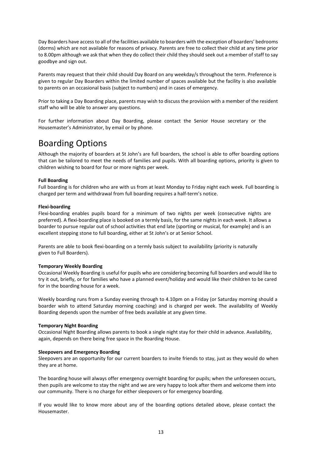Day Boarders have access to all of the facilities available to boarders with the exception of boarders' bedrooms (dorms) which are not available for reasons of privacy. Parents are free to collect their child at any time prior to 8.00pm although we ask that when they do collect their child they should seek out a member of staff to say goodbye and sign out.

Parents may request that their child should Day Board on any weekday/s throughout the term. Preference is given to regular Day Boarders within the limited number of spaces available but the facility is also available to parents on an occasional basis (subject to numbers) and in cases of emergency.

Prior to taking a Day Boarding place, parents may wish to discuss the provision with a member of the resident staff who will be able to answer any questions.

For further information about Day Boarding, please contact the Senior House secretary or the Housemaster's Administrator, by email or by phone.

## <span id="page-14-0"></span>Boarding Options

Although the majority of boarders at St John's are full boarders, the school is able to offer boarding options that can be tailored to meet the needs of families and pupils. With all boarding options, priority is given to children wishing to board for four or more nights per week.

### **Full Boarding**

Full boarding is for children who are with us from at least Monday to Friday night each week. Full boarding is charged per term and withdrawal from full boarding requires a half-term's notice.

#### **Flexi-boarding**

Flexi-boarding enables pupils board for a minimum of two nights per week (consecutive nights are preferred). A flexi-boarding place is booked on a termly basis, for the same nights in each week. It allows a boarder to pursue regular out of school activities that end late (sporting or musical, for example) and is an excellent stepping stone to full boarding, either at St John's or at Senior School.

Parents are able to book flexi-boarding on a termly basis subject to availability (priority is naturally given to Full Boarders).

#### **Temporary Weekly Boarding**

Occasional Weekly Boarding is useful for pupils who are considering becoming full boarders and would like to try it out, briefly, or for families who have a planned event/holiday and would like their children to be cared for in the boarding house for a week.

Weekly boarding runs from a Sunday evening through to 4.10pm on a Friday (or Saturday morning should a boarder wish to attend Saturday morning coaching) and is charged per week. The availability of Weekly Boarding depends upon the number of free beds available at any given time.

#### **Temporary Night Boarding**

Occasional Night Boarding allows parents to book a single night stay for their child in advance. Availability, again, depends on there being free space in the Boarding House.

#### **Sleepovers and Emergency Boarding**

Sleepovers are an opportunity for our current boarders to invite friends to stay, just as they would do when they are at home.

The boarding house will always offer emergency overnight boarding for pupils; when the unforeseen occurs, then pupils are welcome to stay the night and we are very happy to look after them and welcome them into our community. There is no charge for either sleepovers or for emergency boarding.

If you would like to know more about any of the boarding options detailed above, please contact the Housemaster.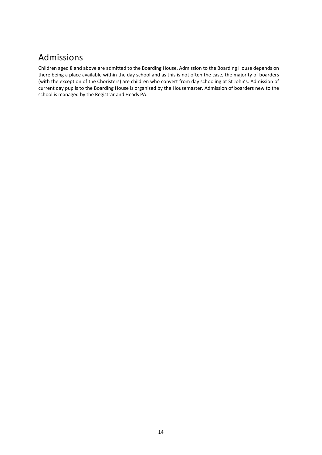# <span id="page-15-0"></span>Admissions

Children aged 8 and above are admitted to the Boarding House. Admission to the Boarding House depends on there being a place available within the day school and as this is not often the case, the majority of boarders (with the exception of the Choristers) are children who convert from day schooling at St John's. Admission of current day pupils to the Boarding House is organised by the Housemaster. Admission of boarders new to the school is managed by the Registrar and Heads PA.